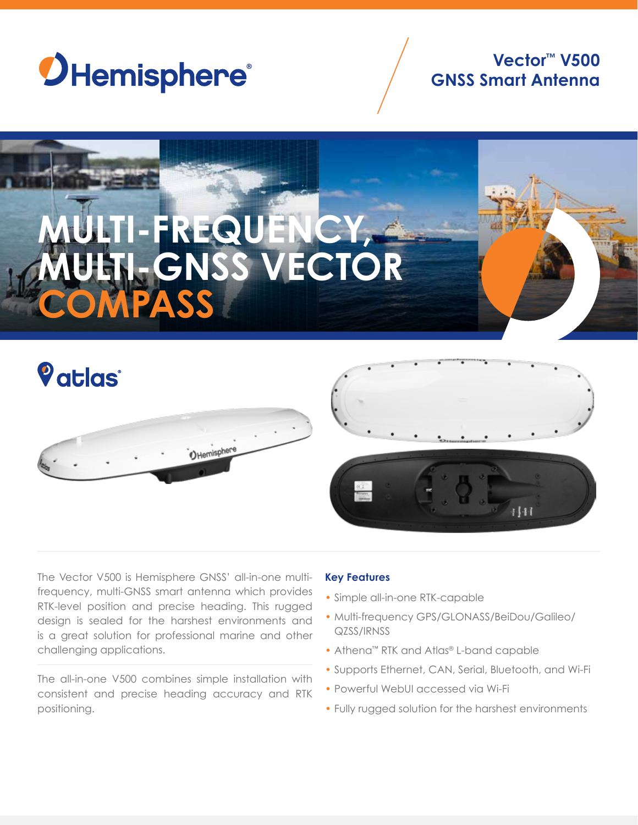

# **Vector™ V500 GNSS Smart Antenna**









The Vector V500 is Hemisphere GNSS' all-in-one multifrequency, multi-GNSS smart antenna which provides RTK-level position and precise heading. This rugged design is sealed for the harshest environments and is a great solution for professional marine and other challenging applications.

The all-in-one V500 combines simple installation with consistent and precise heading accuracy and RTK positioning.

# **Key Features**

- Simple all-in-one RTK-capable
- Multi-frequency GPS/GLONASS/BeiDou/Galileo/ QZSS/IRNSS
- Athena™ RTK and Atlas® L-band capable
- Supports Ethernet, CAN, Serial, Bluetooth, and Wi-Fi
- Powerful WebUI accessed via Wi-Fi
- Fully rugged solution for the harshest environments